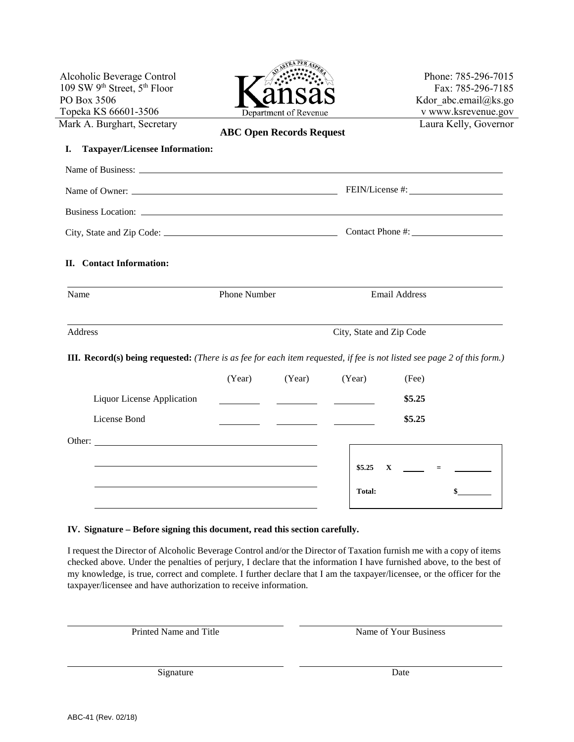|                                                                                                                                                                                                                                | Phone: 785-296-7015                                                                                                             |
|--------------------------------------------------------------------------------------------------------------------------------------------------------------------------------------------------------------------------------|---------------------------------------------------------------------------------------------------------------------------------|
|                                                                                                                                                                                                                                | Fax: 785-296-7185                                                                                                               |
|                                                                                                                                                                                                                                | Kdor abc.email@ks.go                                                                                                            |
| Department of Revenue                                                                                                                                                                                                          | v www.ksrevenue.gov                                                                                                             |
|                                                                                                                                                                                                                                | Laura Kelly, Governor                                                                                                           |
|                                                                                                                                                                                                                                |                                                                                                                                 |
|                                                                                                                                                                                                                                |                                                                                                                                 |
| Name of Business: 2008. All the same of Business: 2008. The same of Business: 2008. The same of Business: 2008. The same of Business: 2008. The same of Business: 2008. The same of Business: 2008. The same of Business: 2008 |                                                                                                                                 |
|                                                                                                                                                                                                                                |                                                                                                                                 |
| Business Location: 2000 and 2000 and 2000 and 2000 and 2000 and 2000 and 2000 and 2000 and 2000 and 2000 and 2000 and 2000 and 2000 and 2000 and 2000 and 2000 and 2000 and 2000 and 2000 and 2000 and 2000 and 2000 and 2000  |                                                                                                                                 |
|                                                                                                                                                                                                                                |                                                                                                                                 |
|                                                                                                                                                                                                                                |                                                                                                                                 |
| Phone Number                                                                                                                                                                                                                   | Email Address                                                                                                                   |
|                                                                                                                                                                                                                                | City, State and Zip Code                                                                                                        |
|                                                                                                                                                                                                                                |                                                                                                                                 |
|                                                                                                                                                                                                                                | <b>III. Record(s) being requested:</b> (There is as fee for each item requested, if fee is not listed see page 2 of this form.) |
| (Year)<br>(Year)                                                                                                                                                                                                               | (Year)<br>(Fee)                                                                                                                 |
| Liquor License Application                                                                                                                                                                                                     | \$5.25                                                                                                                          |
|                                                                                                                                                                                                                                | \$5.25                                                                                                                          |
|                                                                                                                                                                                                                                |                                                                                                                                 |
|                                                                                                                                                                                                                                | \$5.25<br>$\mathbf{X}$<br>$\equiv$                                                                                              |
|                                                                                                                                                                                                                                | <b>ABC Open Records Request</b><br><b>Taxpayer/Licensee Information:</b>                                                        |

## **IV. Signature – Before signing this document, read this section carefully.**

I request the Director of Alcoholic Beverage Control and/or the Director of Taxation furnish me with a copy of items checked above. Under the penalties of perjury, I declare that the information I have furnished above, to the best of my knowledge, is true, correct and complete. I further declare that I am the taxpayer/licensee, or the officer for the taxpayer/licensee and have authorization to receive information.

Printed Name and Title Name of Your Business

Signature Date